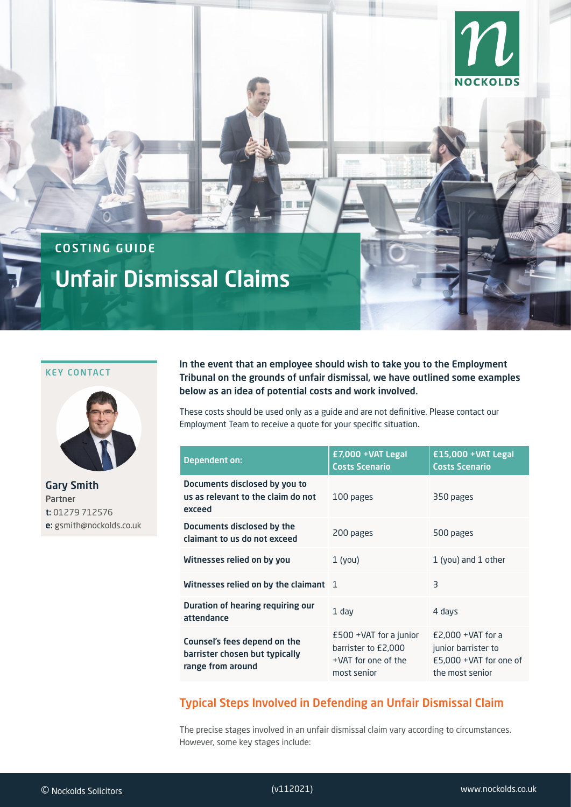

# COSTING GUIDE

# Unfair Dismissal Claims

## KEY CONTACT



Gary Smith Partner t: 01279 712576 e: gsmith@nockolds.co.uk

In the event that an employee should wish to take you to the Employment Tribunal on the grounds of unfair dismissal, we have outlined some examples below as an idea of potential costs and work involved.

These costs should be used only as a guide and are not definitive. Please contact our Employment Team to receive a quote for your specific situation.

| <b>Dependent on:</b>                                                                | £7,000 +VAT Legal<br><b>Costs Scenario</b>                                             | $£15,000 + VAT$ Legal<br><b>Costs Scenario</b>                                              |
|-------------------------------------------------------------------------------------|----------------------------------------------------------------------------------------|---------------------------------------------------------------------------------------------|
| Documents disclosed by you to<br>us as relevant to the claim do not<br>exceed       | 100 pages                                                                              | 350 pages                                                                                   |
| Documents disclosed by the<br>claimant to us do not exceed                          | 200 pages                                                                              | 500 pages                                                                                   |
| Witnesses relied on by you                                                          | $1$ (you)                                                                              | 1 (you) and 1 other                                                                         |
| Witnesses relied on by the claimant 1                                               |                                                                                        | $\overline{\mathsf{B}}$                                                                     |
| Duration of hearing requiring our<br>attendance                                     | $1$ day                                                                                | 4 days                                                                                      |
| Counsel's fees depend on the<br>barrister chosen but typically<br>range from around | $£500 + VAT$ for a junior<br>barrister to £2,000<br>+VAT for one of the<br>most senior | $E2,000 + VAT$ for a<br>junior barrister to<br>$E$ 5,000 +VAT for one of<br>the most senior |

# Typical Steps Involved in Defending an Unfair Dismissal Claim

The precise stages involved in an unfair dismissal claim vary according to circumstances. However, some key stages include: